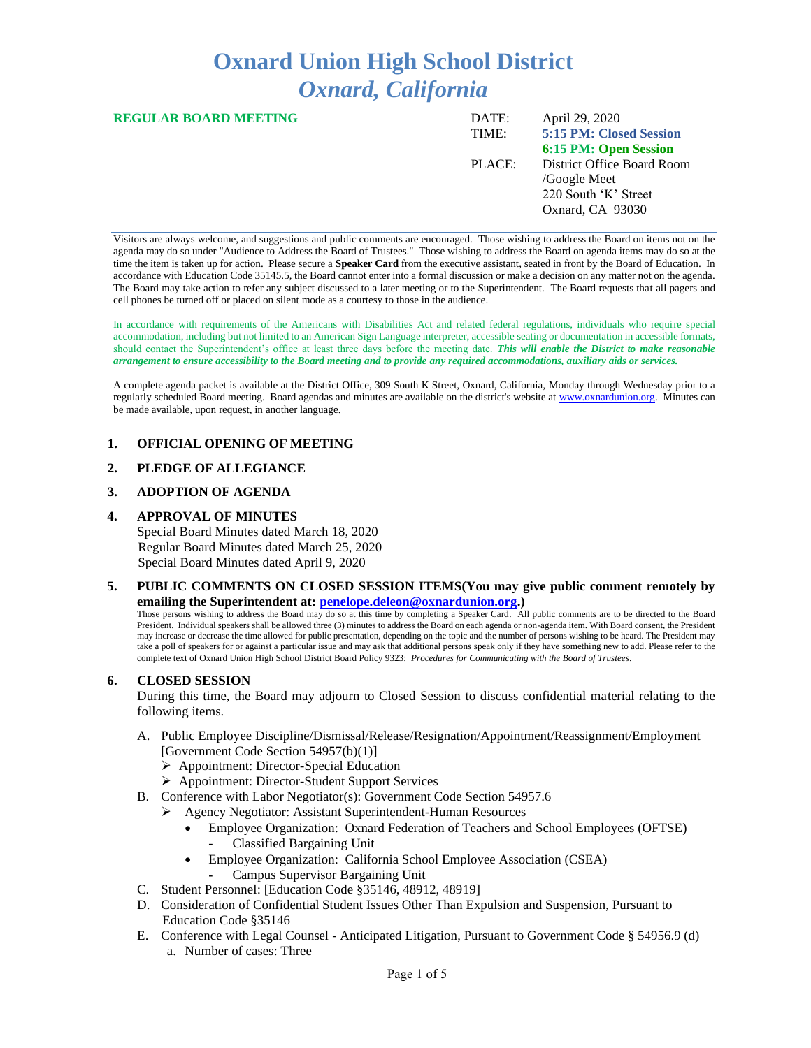# **Oxnard Union High School District** *Oxnard, California*

| <b>REGULAR BOARD MEETING</b> | DATE:  | April 29, 2020               |
|------------------------------|--------|------------------------------|
|                              | TIME:  | 5:15 PM: Closed Session      |
|                              |        | <b>6:15 PM: Open Session</b> |
|                              | PLACE: | District Office Board Room   |
|                              |        | /Google Meet                 |
|                              |        | 220 South 'K' Street         |
|                              |        | Oxnard, CA 93030             |
|                              |        |                              |

Visitors are always welcome, and suggestions and public comments are encouraged. Those wishing to address the Board on items not on the agenda may do so under "Audience to Address the Board of Trustees." Those wishing to address the Board on agenda items may do so at the time the item is taken up for action. Please secure a **Speaker Card** from the executive assistant, seated in front by the Board of Education. In accordance with Education Code 35145.5, the Board cannot enter into a formal discussion or make a decision on any matter not on the agenda. The Board may take action to refer any subject discussed to a later meeting or to the Superintendent. The Board requests that all pagers and cell phones be turned off or placed on silent mode as a courtesy to those in the audience.

In accordance with requirements of the Americans with Disabilities Act and related federal regulations, individuals who require special accommodation, including but not limited to an American Sign Language interpreter, accessible seating or documentation in accessible formats, should contact the Superintendent's office at least three days before the meeting date. *This will enable the District to make reasonable arrangement to ensure accessibility to the Board meeting and to provide any required accommodations, auxiliary aids or services.* 

A complete agenda packet is available at the District Office, 309 South K Street, Oxnard, California, Monday through Wednesday prior to a regularly scheduled Board meeting. Board agendas and minutes are available on the district's website a[t www.ox](http://www.o/)nardunion.org.Minutes can be made available, upon request, in another language.

# **1. OFFICIAL OPENING OF MEETING**

# **2. PLEDGE OF ALLEGIANCE**

# **3. ADOPTION OF AGENDA**

### **4. APPROVAL OF MINUTES**

Special Board Minutes dated March 18, 2020 Regular Board Minutes dated March 25, 2020 Special Board Minutes dated April 9, 2020

## **5. PUBLIC COMMENTS ON CLOSED SESSION ITEMS(You may give public comment remotely by emailing the Superintendent at: [penelope.deleon@oxnardunion.org.](mailto:penelope.deleon@oxnardunion.org))**

Those persons wishing to address the Board may do so at this time by completing a Speaker Card. All public comments are to be directed to the Board President. Individual speakers shall be allowed three (3) minutes to address the Board on each agenda or non-agenda item. With Board consent, the President may increase or decrease the time allowed for public presentation, depending on the topic and the number of persons wishing to be heard. The President may take a poll of speakers for or against a particular issue and may ask that additional persons speak only if they have something new to add. Please refer to the complete text of Oxnard Union High School District Board Policy 9323: *Procedures for Communicating with the Board of Trustees*.

# **6. CLOSED SESSION**

During this time, the Board may adjourn to Closed Session to discuss confidential material relating to the following items.

- A. Public Employee Discipline/Dismissal/Release/Resignation/Appointment/Reassignment/Employment [Government Code Section 54957(b)(1)]
	- ➢ Appointment: Director-Special Education
	- ➢ Appointment: Director-Student Support Services
- B. Conference with Labor Negotiator(s): Government Code Section 54957.6
	- ➢ Agency Negotiator: Assistant Superintendent-Human Resources
		- Employee Organization: Oxnard Federation of Teachers and School Employees (OFTSE) - Classified Bargaining Unit
		- Employee Organization: California School Employee Association (CSEA)
			- Campus Supervisor Bargaining Unit
- C. Student Personnel: [Education Code §35146, 48912, 48919]
- D. Consideration of Confidential Student Issues Other Than Expulsion and Suspension, Pursuant to Education Code §35146
- E. Conference with Legal Counsel Anticipated Litigation, Pursuant to Government Code § 54956.9 (d) a. Number of cases: Three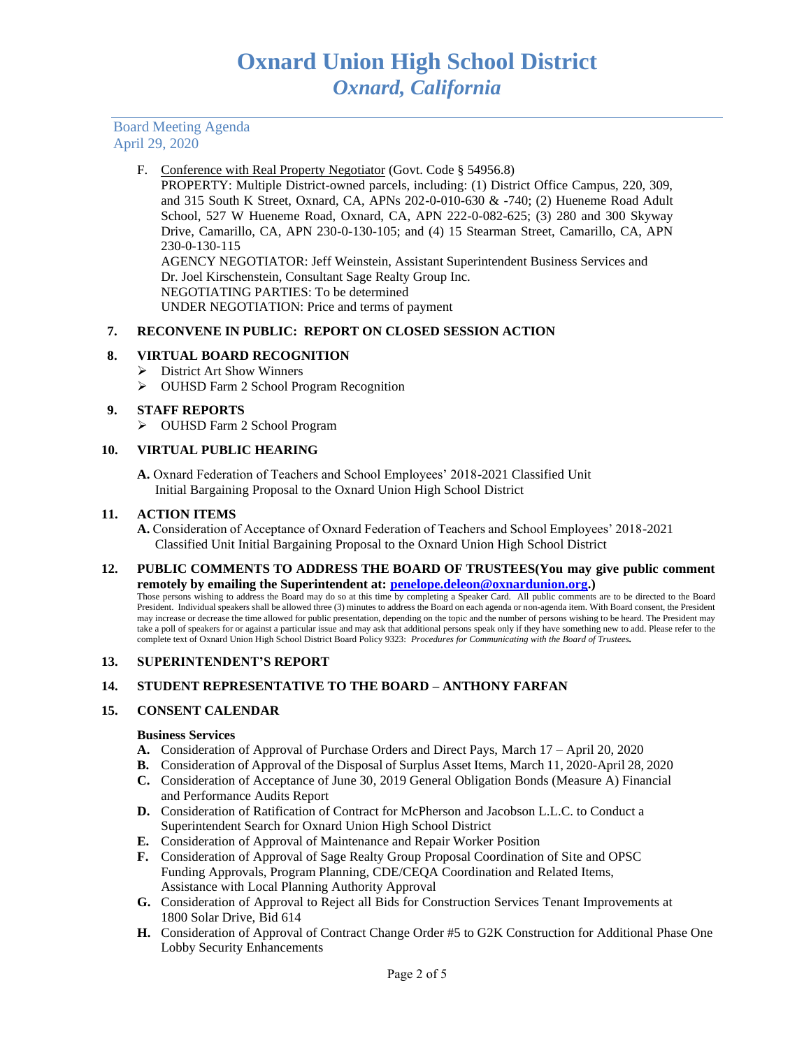# F. Conference with Real Property Negotiator (Govt. Code § 54956.8)

PROPERTY: Multiple District-owned parcels, including: (1) District Office Campus, 220, 309, and 315 South K Street, Oxnard, CA, APNs 202-0-010-630 & -740; (2) Hueneme Road Adult School, 527 W Hueneme Road, Oxnard, CA, APN 222-0-082-625; (3) 280 and 300 Skyway Drive, Camarillo, CA, APN 230-0-130-105; and (4) 15 Stearman Street, Camarillo, CA, APN 230-0-130-115 AGENCY NEGOTIATOR: Jeff Weinstein, Assistant Superintendent Business Services and

Dr. Joel Kirschenstein, Consultant Sage Realty Group Inc. NEGOTIATING PARTIES: To be determined UNDER NEGOTIATION: Price and terms of payment

# **7. RECONVENE IN PUBLIC: REPORT ON CLOSED SESSION ACTION**

# **8. VIRTUAL BOARD RECOGNITION**

- ➢ District Art Show Winners
- ➢ OUHSD Farm 2 School Program Recognition

# **9. STAFF REPORTS**

➢ OUHSD Farm 2 School Program

# **10. VIRTUAL PUBLIC HEARING**

**A.** Oxnard Federation of Teachers and School Employees' 2018-2021 Classified Unit Initial Bargaining Proposal to the Oxnard Union High School District

### **11. ACTION ITEMS**

**A.** Consideration of Acceptance of Oxnard Federation of Teachers and School Employees' 2018-2021 Classified Unit Initial Bargaining Proposal to the Oxnard Union High School District

**12. PUBLIC COMMENTS TO ADDRESS THE BOARD OF TRUSTEES(You may give public comment remotely by emailing the Superintendent at: [penelope.deleon@oxnardunion.org.](mailto:penelope.deleon@oxnardunion.org))**

Those persons wishing to address the Board may do so at this time by completing a Speaker Card. All public comments are to be directed to the Board President. Individual speakers shall be allowed three (3) minutes to address the Board on each agenda or non-agenda item. With Board consent, the President may increase or decrease the time allowed for public presentation, depending on the topic and the number of persons wishing to be heard. The President may take a poll of speakers for or against a particular issue and may ask that additional persons speak only if they have something new to add. Please refer to the complete text of Oxnard Union High School District Board Policy 9323: *Procedures for Communicating with the Board of Trustees.*

# **13. SUPERINTENDENT'S REPORT**

# **14. STUDENT REPRESENTATIVE TO THE BOARD – ANTHONY FARFAN**

# **15. CONSENT CALENDAR**

#### **Business Services**

- **A.** Consideration of Approval of Purchase Orders and Direct Pays, March 17 April 20, 2020
- **B.** Consideration of Approval of the Disposal of Surplus Asset Items, March 11, 2020-April 28, 2020
- **C.** Consideration of Acceptance of June 30, 2019 General Obligation Bonds (Measure A) Financial and Performance Audits Report
- **D.** Consideration of Ratification of Contract for McPherson and Jacobson L.L.C. to Conduct a Superintendent Search for Oxnard Union High School District
- **E.** Consideration of Approval of Maintenance and Repair Worker Position
- **F.** Consideration of Approval of Sage Realty Group Proposal Coordination of Site and OPSC Funding Approvals, Program Planning, CDE/CEQA Coordination and Related Items, Assistance with Local Planning Authority Approval
- **G.** Consideration of Approval to Reject all Bids for Construction Services Tenant Improvements at 1800 Solar Drive, Bid 614
- **H.** Consideration of Approval of Contract Change Order #5 to G2K Construction for Additional Phase One Lobby Security Enhancements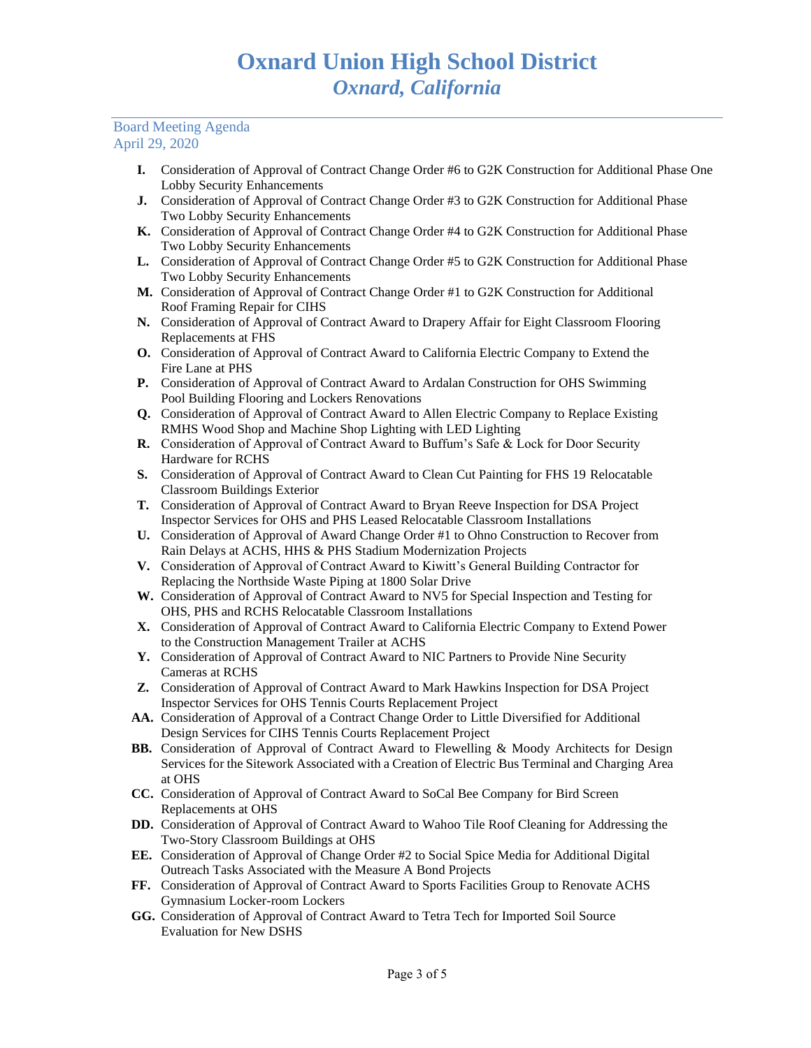- **I.** Consideration of Approval of Contract Change Order #6 to G2K Construction for Additional Phase One Lobby Security Enhancements
- **J.** Consideration of Approval of Contract Change Order #3 to G2K Construction for Additional Phase Two Lobby Security Enhancements
- **K.** Consideration of Approval of Contract Change Order #4 to G2K Construction for Additional Phase Two Lobby Security Enhancements
- **L.** Consideration of Approval of Contract Change Order #5 to G2K Construction for Additional Phase Two Lobby Security Enhancements
- **M.** Consideration of Approval of Contract Change Order #1 to G2K Construction for Additional Roof Framing Repair for CIHS
- **N.** Consideration of Approval of Contract Award to Drapery Affair for Eight Classroom Flooring Replacements at FHS
- **O.** Consideration of Approval of Contract Award to California Electric Company to Extend the Fire Lane at PHS
- **P.** Consideration of Approval of Contract Award to Ardalan Construction for OHS Swimming Pool Building Flooring and Lockers Renovations
- **Q.** Consideration of Approval of Contract Award to Allen Electric Company to Replace Existing RMHS Wood Shop and Machine Shop Lighting with LED Lighting
- **R.** Consideration of Approval of Contract Award to Buffum's Safe & Lock for Door Security Hardware for RCHS
- **S.** Consideration of Approval of Contract Award to Clean Cut Painting for FHS 19 Relocatable Classroom Buildings Exterior
- **T.** Consideration of Approval of Contract Award to Bryan Reeve Inspection for DSA Project Inspector Services for OHS and PHS Leased Relocatable Classroom Installations
- **U.** Consideration of Approval of Award Change Order #1 to Ohno Construction to Recover from Rain Delays at ACHS, HHS & PHS Stadium Modernization Projects
- **V.** Consideration of Approval of Contract Award to Kiwitt's General Building Contractor for Replacing the Northside Waste Piping at 1800 Solar Drive
- **W.** Consideration of Approval of Contract Award to NV5 for Special Inspection and Testing for OHS, PHS and RCHS Relocatable Classroom Installations
- **X.** Consideration of Approval of Contract Award to California Electric Company to Extend Power to the Construction Management Trailer at ACHS
- **Y.** Consideration of Approval of Contract Award to NIC Partners to Provide Nine Security Cameras at RCHS
- **Z.** Consideration of Approval of Contract Award to Mark Hawkins Inspection for DSA Project Inspector Services for OHS Tennis Courts Replacement Project
- **AA.** Consideration of Approval of a Contract Change Order to Little Diversified for Additional Design Services for CIHS Tennis Courts Replacement Project
- **BB.** Consideration of Approval of Contract Award to Flewelling & Moody Architects for Design Services for the Sitework Associated with a Creation of Electric Bus Terminal and Charging Area at OHS
- **CC.** Consideration of Approval of Contract Award to SoCal Bee Company for Bird Screen Replacements at OHS
- **DD.** Consideration of Approval of Contract Award to Wahoo Tile Roof Cleaning for Addressing the Two-Story Classroom Buildings at OHS
- **EE.** Consideration of Approval of Change Order #2 to Social Spice Media for Additional Digital Outreach Tasks Associated with the Measure A Bond Projects
- **FF.** Consideration of Approval of Contract Award to Sports Facilities Group to Renovate ACHS Gymnasium Locker-room Lockers
- **GG.** Consideration of Approval of Contract Award to Tetra Tech for Imported Soil Source Evaluation for New DSHS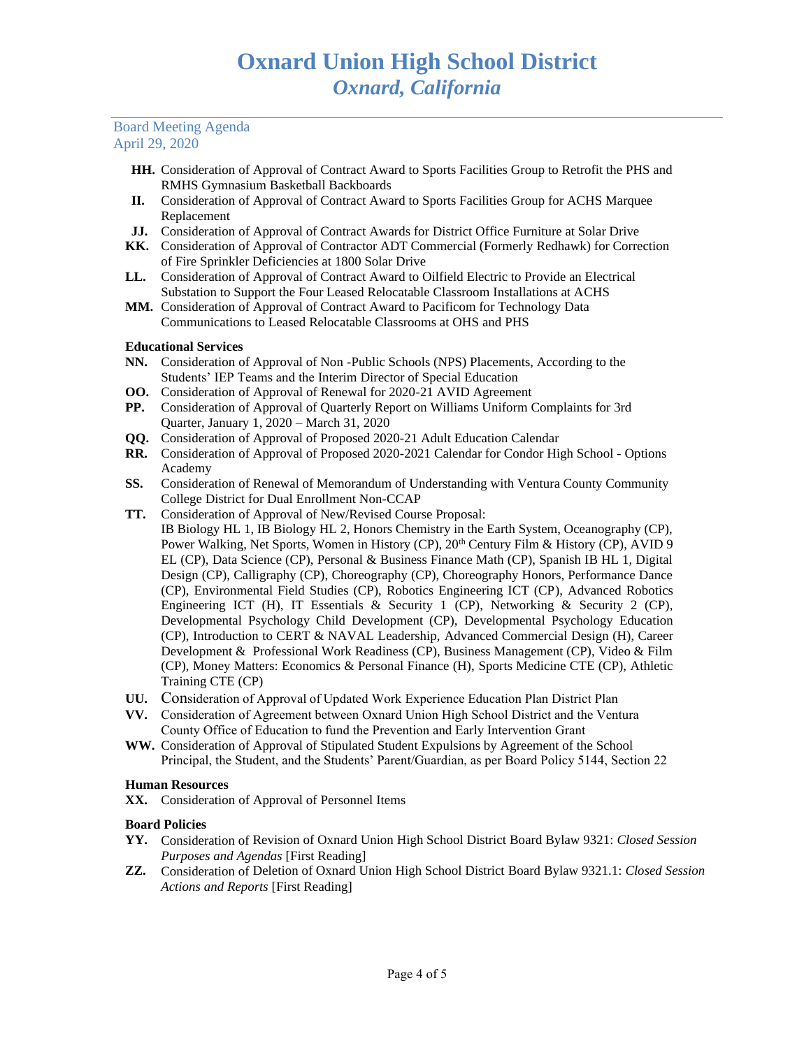- **HH.** Consideration of Approval of Contract Award to Sports Facilities Group to Retrofit the PHS and RMHS Gymnasium Basketball Backboards
- **II.** Consideration of Approval of Contract Award to Sports Facilities Group for ACHS Marquee Replacement
- **JJ.** Consideration of Approval of Contract Awards for District Office Furniture at Solar Drive
- **KK.** Consideration of Approval of Contractor ADT Commercial (Formerly Redhawk) for Correction of Fire Sprinkler Deficiencies at 1800 Solar Drive
- **LL.** Consideration of Approval of Contract Award to Oilfield Electric to Provide an Electrical Substation to Support the Four Leased Relocatable Classroom Installations at ACHS
- **MM.** Consideration of Approval of Contract Award to Pacificom for Technology Data Communications to Leased Relocatable Classrooms at OHS and PHS

# **Educational Services**

- **NN.** Consideration of Approval of Non -Public Schools (NPS) Placements, According to the Students' IEP Teams and the Interim Director of Special Education
- **OO.** Consideration of Approval of Renewal for 2020-21 AVID Agreement
- **PP.** Consideration of Approval of Quarterly Report on Williams Uniform Complaints for 3rd Quarter, January 1, 2020 – March 31, 2020
- **QQ.** Consideration of Approval of Proposed 2020-21 Adult Education Calendar
- **RR.** Consideration of Approval of Proposed 2020-2021 Calendar for Condor High School Options Academy
- **SS.** Consideration of Renewal of Memorandum of Understanding with Ventura County Community College District for Dual Enrollment Non-CCAP
- **TT.** Consideration of Approval of New/Revised Course Proposal: IB Biology HL 1, IB Biology HL 2, Honors Chemistry in the Earth System, Oceanography (CP), Power Walking, Net Sports, Women in History (CP),  $20<sup>th</sup>$  Century Film & History (CP), AVID 9 EL (CP), Data Science (CP), Personal & Business Finance Math (CP), Spanish IB HL 1, Digital Design (CP), Calligraphy (CP), Choreography (CP), Choreography Honors, Performance Dance (CP), Environmental Field Studies (CP), Robotics Engineering ICT (CP), Advanced Robotics Engineering ICT (H), IT Essentials & Security 1 (CP), Networking & Security 2 (CP), Developmental Psychology Child Development (CP), Developmental Psychology Education (CP), Introduction to CERT & NAVAL Leadership, Advanced Commercial Design (H), Career Development & Professional Work Readiness (CP), Business Management (CP), Video & Film (CP), Money Matters: Economics & Personal Finance (H), Sports Medicine CTE (CP), Athletic Training CTE (CP)
- **UU.** Consideration of Approval of Updated Work Experience Education Plan District Plan
- **VV.** Consideration of Agreement between Oxnard Union High School District and the Ventura County Office of Education to fund the Prevention and Early Intervention Grant
- **WW.** Consideration of Approval of Stipulated Student Expulsions by Agreement of the School Principal, the Student, and the Students' Parent/Guardian, as per Board Policy 5144, Section 22

# **Human Resources**

**XX.** Consideration of Approval of Personnel Items

# **Board Policies**

- **YY.** Consideration of Revision of Oxnard Union High School District Board Bylaw 9321: *Closed Session Purposes and Agendas* [First Reading]
- **ZZ.** Consideration of Deletion of Oxnard Union High School District Board Bylaw 9321.1: *Closed Session Actions and Reports* [First Reading]